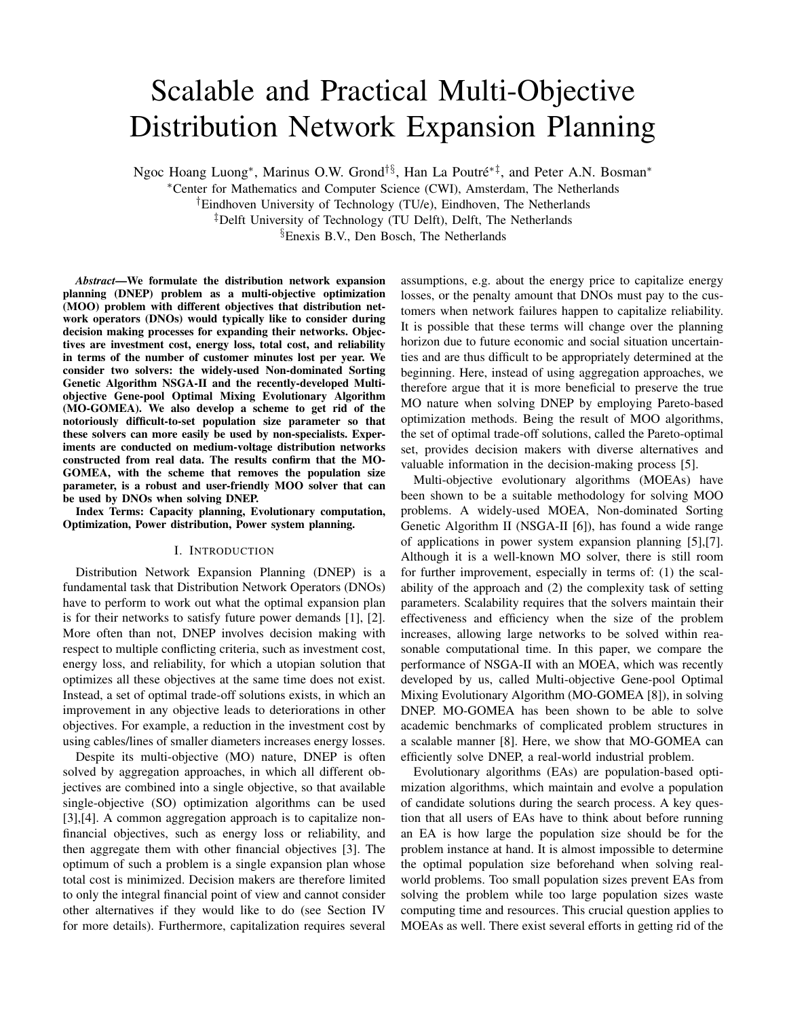# Scalable and Practical Multi-Objective Distribution Network Expansion Planning

Ngoc Hoang Luong<sup>∗</sup>, Marinus O.W. Grond<sup>†§</sup>, Han La Poutré<sup>∗‡</sup>, and Peter A.N. Bosman<sup>∗</sup>

<sup>∗</sup>Center for Mathematics and Computer Science (CWI), Amsterdam, The Netherlands

†Eindhoven University of Technology (TU/e), Eindhoven, The Netherlands

‡Delft University of Technology (TU Delft), Delft, The Netherlands

 $\S$ Enexis B.V., Den Bosch, The Netherlands

*Abstract*—We formulate the distribution network expansion planning (DNEP) problem as a multi-objective optimization (MOO) problem with different objectives that distribution network operators (DNOs) would typically like to consider during decision making processes for expanding their networks. Objectives are investment cost, energy loss, total cost, and reliability in terms of the number of customer minutes lost per year. We consider two solvers: the widely-used Non-dominated Sorting Genetic Algorithm NSGA-II and the recently-developed Multiobjective Gene-pool Optimal Mixing Evolutionary Algorithm (MO-GOMEA). We also develop a scheme to get rid of the notoriously difficult-to-set population size parameter so that these solvers can more easily be used by non-specialists. Experiments are conducted on medium-voltage distribution networks constructed from real data. The results confirm that the MO-GOMEA, with the scheme that removes the population size parameter, is a robust and user-friendly MOO solver that can be used by DNOs when solving DNEP.

Index Terms: Capacity planning, Evolutionary computation, Optimization, Power distribution, Power system planning.

## I. INTRODUCTION

Distribution Network Expansion Planning (DNEP) is a fundamental task that Distribution Network Operators (DNOs) have to perform to work out what the optimal expansion plan is for their networks to satisfy future power demands [1], [2]. More often than not, DNEP involves decision making with respect to multiple conflicting criteria, such as investment cost, energy loss, and reliability, for which a utopian solution that optimizes all these objectives at the same time does not exist. Instead, a set of optimal trade-off solutions exists, in which an improvement in any objective leads to deteriorations in other objectives. For example, a reduction in the investment cost by using cables/lines of smaller diameters increases energy losses.

Despite its multi-objective (MO) nature, DNEP is often solved by aggregation approaches, in which all different objectives are combined into a single objective, so that available single-objective (SO) optimization algorithms can be used [3], [4]. A common aggregation approach is to capitalize nonfinancial objectives, such as energy loss or reliability, and then aggregate them with other financial objectives [3]. The optimum of such a problem is a single expansion plan whose total cost is minimized. Decision makers are therefore limited to only the integral financial point of view and cannot consider other alternatives if they would like to do (see Section IV for more details). Furthermore, capitalization requires several

assumptions, e.g. about the energy price to capitalize energy losses, or the penalty amount that DNOs must pay to the customers when network failures happen to capitalize reliability. It is possible that these terms will change over the planning horizon due to future economic and social situation uncertainties and are thus difficult to be appropriately determined at the beginning. Here, instead of using aggregation approaches, we therefore argue that it is more beneficial to preserve the true MO nature when solving DNEP by employing Pareto-based optimization methods. Being the result of MOO algorithms, the set of optimal trade-off solutions, called the Pareto-optimal set, provides decision makers with diverse alternatives and valuable information in the decision-making process [5].

Multi-objective evolutionary algorithms (MOEAs) have been shown to be a suitable methodology for solving MOO problems. A widely-used MOEA, Non-dominated Sorting Genetic Algorithm II (NSGA-II [6]), has found a wide range of applications in power system expansion planning [5],[7]. Although it is a well-known MO solver, there is still room for further improvement, especially in terms of: (1) the scalability of the approach and (2) the complexity task of setting parameters. Scalability requires that the solvers maintain their effectiveness and efficiency when the size of the problem increases, allowing large networks to be solved within reasonable computational time. In this paper, we compare the performance of NSGA-II with an MOEA, which was recently developed by us, called Multi-objective Gene-pool Optimal Mixing Evolutionary Algorithm (MO-GOMEA [8]), in solving DNEP. MO-GOMEA has been shown to be able to solve academic benchmarks of complicated problem structures in a scalable manner [8]. Here, we show that MO-GOMEA can efficiently solve DNEP, a real-world industrial problem.

Evolutionary algorithms (EAs) are population-based optimization algorithms, which maintain and evolve a population of candidate solutions during the search process. A key question that all users of EAs have to think about before running an EA is how large the population size should be for the problem instance at hand. It is almost impossible to determine the optimal population size beforehand when solving realworld problems. Too small population sizes prevent EAs from solving the problem while too large population sizes waste computing time and resources. This crucial question applies to MOEAs as well. There exist several efforts in getting rid of the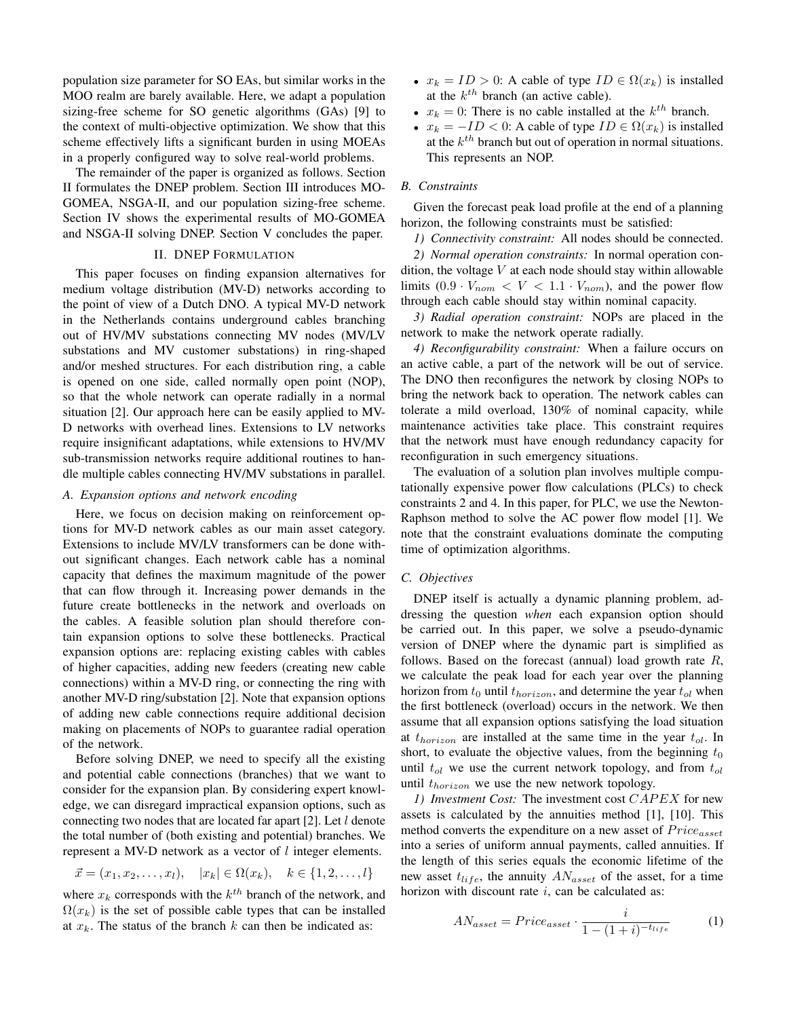population size parameter for SO EAs, but similar works in the MOO realm are barely available. Here, we adapt a population sizing-free scheme for SO genetic algorithms (GAs) [9] to the context of multi-objective optimization. We show that this scheme effectively lifts a significant burden in using MOEAs in a properly configured way to solve real-world problems.

The remainder of the paper is organized as follows. Section II formulates the DNEP problem. Section III introduces MO-GOMEA, NSGA-II, and our population sizing-free scheme. Section IV shows the experimental results of MO-GOMEA and NSGA-II solving DNEP. Section V concludes the paper.

# II. DNEP FORMULATION

This paper focuses on finding expansion alternatives for medium voltage distribution (MV-D) networks according to the point of view of a Dutch DNO. A typical MV-D network in the Netherlands contains underground cables branching out of HV/MV substations connecting MV nodes (MV/LV substations and MV customer substations) in ring-shaped and/or meshed structures. For each distribution ring, a cable is opened on one side, called normally open point (NOP), so that the whole network can operate radially in a normal situation [2]. Our approach here can be easily applied to MV-D networks with overhead lines. Extensions to LV networks require insignificant adaptations, while extensions to HV/MV sub-transmission networks require additional routines to handle multiple cables connecting HV/MV substations in parallel.

# *A. Expansion options and network encoding*

Here, we focus on decision making on reinforcement options for MV-D network cables as our main asset category. Extensions to include MV/LV transformers can be done without significant changes. Each network cable has a nominal capacity that defines the maximum magnitude of the power that can flow through it. Increasing power demands in the future create bottlenecks in the network and overloads on the cables. A feasible solution plan should therefore contain expansion options to solve these bottlenecks. Practical expansion options are: replacing existing cables with cables of higher capacities, adding new feeders (creating new cable connections) within a MV-D ring, or connecting the ring with another MV-D ring/substation [2]. Note that expansion options of adding new cable connections require additional decision making on placements of NOPs to guarantee radial operation of the network.

Before solving DNEP, we need to specify all the existing and potential cable connections (branches) that we want to consider for the expansion plan. By considering expert knowledge, we can disregard impractical expansion options, such as connecting two nodes that are located far apart [2]. Let l denote the total number of (both existing and potential) branches. We represent a MV-D network as a vector of l integer elements.

$$
\vec{x} = (x_1, x_2, \dots, x_l), \quad |x_k| \in \Omega(x_k), \quad k \in \{1, 2, \dots, l\}
$$

where  $x_k$  corresponds with the  $k^{th}$  branch of the network, and  $\Omega(x_k)$  is the set of possible cable types that can be installed at  $x_k$ . The status of the branch k can then be indicated as:

- $x_k = ID > 0$ : A cable of type  $ID \in \Omega(x_k)$  is installed at the  $k^{th}$  branch (an active cable).
- $x_k = 0$ : There is no cable installed at the  $k^{th}$  branch.
- $x_k = -ID < 0$ : A cable of type  $ID \in \Omega(x_k)$  is installed at the  $k^{th}$  branch but out of operation in normal situations. This represents an NOP.

#### *B. Constraints*

Given the forecast peak load profile at the end of a planning horizon, the following constraints must be satisfied:

*1) Connectivity constraint:* All nodes should be connected.

*2) Normal operation constraints:* In normal operation condition, the voltage  $V$  at each node should stay within allowable limits  $(0.9 \cdot V_{nom} < V < 1.1 \cdot V_{nom})$ , and the power flow through each cable should stay within nominal capacity.

*3) Radial operation constraint:* NOPs are placed in the network to make the network operate radially.

*4) Reconfigurability constraint:* When a failure occurs on an active cable, a part of the network will be out of service. The DNO then reconfigures the network by closing NOPs to bring the network back to operation. The network cables can tolerate a mild overload, 130% of nominal capacity, while maintenance activities take place. This constraint requires that the network must have enough redundancy capacity for reconfiguration in such emergency situations.

The evaluation of a solution plan involves multiple computationally expensive power flow calculations (PLCs) to check constraints 2 and 4. In this paper, for PLC, we use the Newton-Raphson method to solve the AC power flow model [1]. We note that the constraint evaluations dominate the computing time of optimization algorithms.

### *C. Objectives*

DNEP itself is actually a dynamic planning problem, addressing the question *when* each expansion option should be carried out. In this paper, we solve a pseudo-dynamic version of DNEP where the dynamic part is simplified as follows. Based on the forecast (annual) load growth rate  $R$ , we calculate the peak load for each year over the planning horizon from  $t_0$  until  $t_{horizon}$ , and determine the year  $t_{ol}$  when the first bottleneck (overload) occurs in the network. We then assume that all expansion options satisfying the load situation at  $t_{horizon}$  are installed at the same time in the year  $t_{ol}$ . In short, to evaluate the objective values, from the beginning  $t_0$ until  $t_{ol}$  we use the current network topology, and from  $t_{ol}$ until  $t_{horizon}$  we use the new network topology.

*1) Investment Cost:* The investment cost CAPEX for new assets is calculated by the annuities method [1], [10]. This method converts the expenditure on a new asset of  $Price_{asset}$ into a series of uniform annual payments, called annuities. If the length of this series equals the economic lifetime of the new asset  $t_{life}$ , the annuity  $AN_{asset}$  of the asset, for a time horizon with discount rate  $i$ , can be calculated as:

$$
AN_{asset} = Price_{asset} \cdot \frac{i}{1 - (1+i)^{-t_{life}}} \tag{1}
$$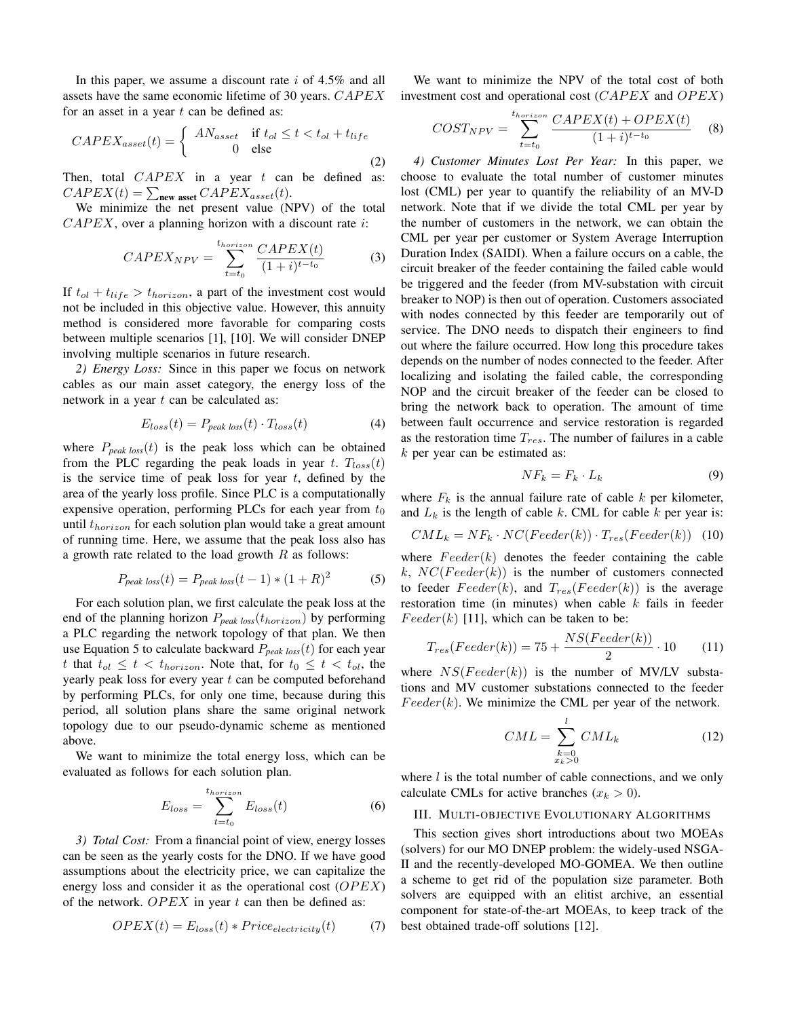In this paper, we assume a discount rate  $i$  of 4.5% and all assets have the same economic lifetime of 30 years. CAPEX for an asset in a year  $t$  can be defined as:

$$
CAPEX_{asset}(t) = \begin{cases} AN_{asset} & \text{if } t_{ol} \le t < t_{ol} + t_{life} \\ 0 & \text{else} \end{cases}
$$
 (2)

Then, total  $CAPEX$  in a year t can be defined as:  $CAPEX(t) = \sum_{\text{new asset}} CAPEX_{asset}(t).$ 

We minimize the net present value (NPV) of the total  $CAPEX$ , over a planning horizon with a discount rate i:

$$
CAPEX_{NPV} = \sum_{t=t_0}^{t_{horizon}} \frac{CAPEX(t)}{(1+i)^{t-t_0}} \tag{3}
$$

If  $t_{ol} + t_{life} > t_{horizon}$ , a part of the investment cost would not be included in this objective value. However, this annuity method is considered more favorable for comparing costs between multiple scenarios [1], [10]. We will consider DNEP involving multiple scenarios in future research.

*2) Energy Loss:* Since in this paper we focus on network cables as our main asset category, the energy loss of the network in a year  $t$  can be calculated as:

$$
E_{loss}(t) = P_{peak\ loss}(t) \cdot T_{loss}(t) \tag{4}
$$

where  $P_{peak loss}(t)$  is the peak loss which can be obtained from the PLC regarding the peak loads in year t.  $T_{loss}(t)$ is the service time of peak loss for year  $t$ , defined by the area of the yearly loss profile. Since PLC is a computationally expensive operation, performing PLCs for each year from  $t_0$ until  $t_{horizon}$  for each solution plan would take a great amount of running time. Here, we assume that the peak loss also has a growth rate related to the load growth  $R$  as follows:

$$
P_{\text{peak loss}}(t) = P_{\text{peak loss}}(t-1) * (1+R)^2 \tag{5}
$$

For each solution plan, we first calculate the peak loss at the end of the planning horizon  $P_{peak loss}(t_{horizon})$  by performing a PLC regarding the network topology of that plan. We then use Equation 5 to calculate backward  $P_{peak loss}(t)$  for each year t that  $t_{ol} \leq t < t_{horizon}$ . Note that, for  $t_0 \leq t < t_{ol}$ , the yearly peak loss for every year  $t$  can be computed beforehand by performing PLCs, for only one time, because during this period, all solution plans share the same original network topology due to our pseudo-dynamic scheme as mentioned above.

We want to minimize the total energy loss, which can be evaluated as follows for each solution plan.

$$
E_{loss} = \sum_{t=t_0}^{t_{horizon}} E_{loss}(t)
$$
 (6)

*3) Total Cost:* From a financial point of view, energy losses can be seen as the yearly costs for the DNO. If we have good assumptions about the electricity price, we can capitalize the energy loss and consider it as the operational cost  $(OPEX)$ of the network.  $OPEX$  in year t can then be defined as:

$$
OPEX(t) = E_{loss}(t) * Price_{electricity}(t)
$$
 (7)

We want to minimize the NPV of the total cost of both investment cost and operational cost  $(CAPEX$  and  $OPEX$ )

$$
COST_{NPV} = \sum_{t=t_0}^{t_{horizon}} \frac{CAPEX(t) + OPEX(t)}{(1+i)^{t-t_0}} \quad (8)
$$

*4) Customer Minutes Lost Per Year:* In this paper, we choose to evaluate the total number of customer minutes lost (CML) per year to quantify the reliability of an MV-D network. Note that if we divide the total CML per year by the number of customers in the network, we can obtain the CML per year per customer or System Average Interruption Duration Index (SAIDI). When a failure occurs on a cable, the circuit breaker of the feeder containing the failed cable would be triggered and the feeder (from MV-substation with circuit breaker to NOP) is then out of operation. Customers associated with nodes connected by this feeder are temporarily out of service. The DNO needs to dispatch their engineers to find out where the failure occurred. How long this procedure takes depends on the number of nodes connected to the feeder. After localizing and isolating the failed cable, the corresponding NOP and the circuit breaker of the feeder can be closed to bring the network back to operation. The amount of time between fault occurrence and service restoration is regarded as the restoration time  $T_{res}$ . The number of failures in a cable  $k$  per year can be estimated as:

$$
N F_k = F_k \cdot L_k \tag{9}
$$

where  $F_k$  is the annual failure rate of cable k per kilometer, and  $L_k$  is the length of cable k. CML for cable k per year is:

$$
CML_k = NF_k \cdot NC(Feeder(k)) \cdot T_{res}(Feeder(k)) \quad (10)
$$

where  $Feeder(k)$  denotes the feeder containing the cable k,  $NC(Feeder(k))$  is the number of customers connected to feeder  $Feeder(k)$ , and  $T_{res}(Feeder(k))$  is the average restoration time (in minutes) when cable  $k$  fails in feeder  $Feder(k)$  [11], which can be taken to be:

$$
T_{res}(Feeder(k)) = 75 + \frac{NS(Feeder(k))}{2} \cdot 10 \tag{11}
$$

where  $NS(Feeder(k))$  is the number of MV/LV substations and MV customer substations connected to the feeder  $Feder(k)$ . We minimize the CML per year of the network.

$$
CML = \sum_{\substack{k=0\\x_k>0}}^{l} CML_k
$$
\n(12)

where  $l$  is the total number of cable connections, and we only calculate CMLs for active branches  $(x_k > 0)$ .

## III. MULTI-OBJECTIVE EVOLUTIONARY ALGORITHMS

This section gives short introductions about two MOEAs (solvers) for our MO DNEP problem: the widely-used NSGA-II and the recently-developed MO-GOMEA. We then outline a scheme to get rid of the population size parameter. Both solvers are equipped with an elitist archive, an essential component for state-of-the-art MOEAs, to keep track of the best obtained trade-off solutions [12].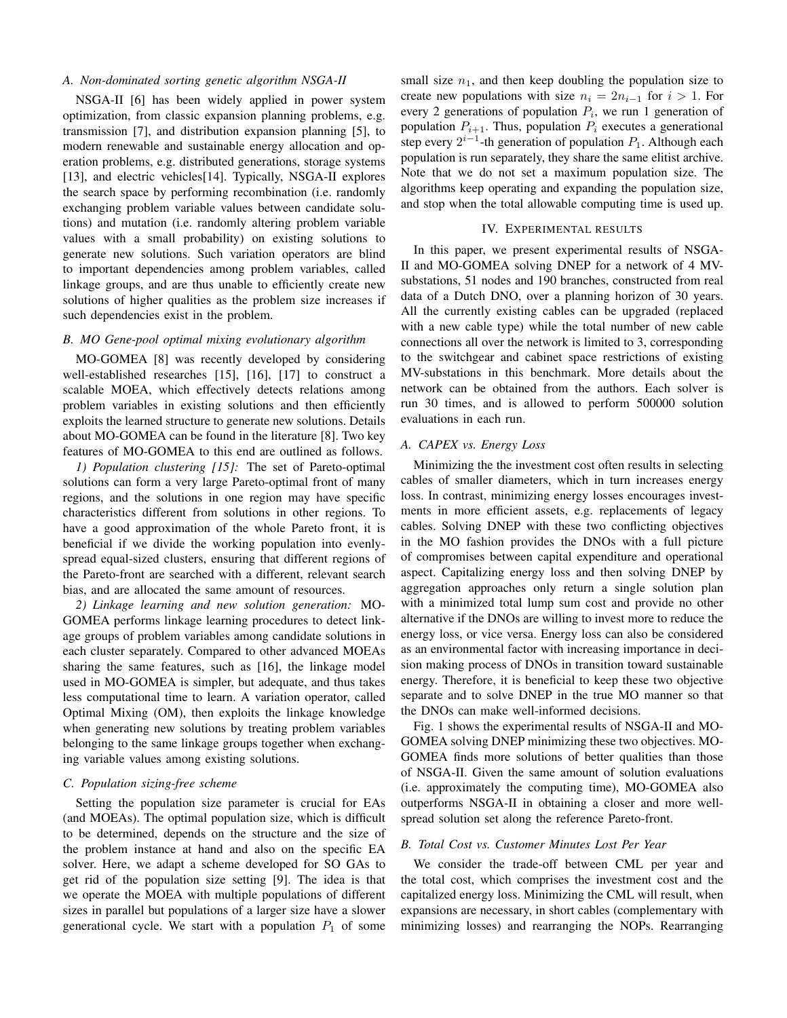## *A. Non-dominated sorting genetic algorithm NSGA-II*

NSGA-II [6] has been widely applied in power system optimization, from classic expansion planning problems, e.g. transmission [7], and distribution expansion planning [5], to modern renewable and sustainable energy allocation and operation problems, e.g. distributed generations, storage systems [13], and electric vehicles[14]. Typically, NSGA-II explores the search space by performing recombination (i.e. randomly exchanging problem variable values between candidate solutions) and mutation (i.e. randomly altering problem variable values with a small probability) on existing solutions to generate new solutions. Such variation operators are blind to important dependencies among problem variables, called linkage groups, and are thus unable to efficiently create new solutions of higher qualities as the problem size increases if such dependencies exist in the problem.

# *B. MO Gene-pool optimal mixing evolutionary algorithm*

MO-GOMEA [8] was recently developed by considering well-established researches [15], [16], [17] to construct a scalable MOEA, which effectively detects relations among problem variables in existing solutions and then efficiently exploits the learned structure to generate new solutions. Details about MO-GOMEA can be found in the literature [8]. Two key features of MO-GOMEA to this end are outlined as follows.

*1) Population clustering [15]:* The set of Pareto-optimal solutions can form a very large Pareto-optimal front of many regions, and the solutions in one region may have specific characteristics different from solutions in other regions. To have a good approximation of the whole Pareto front, it is beneficial if we divide the working population into evenlyspread equal-sized clusters, ensuring that different regions of the Pareto-front are searched with a different, relevant search bias, and are allocated the same amount of resources.

*2) Linkage learning and new solution generation:* MO-GOMEA performs linkage learning procedures to detect linkage groups of problem variables among candidate solutions in each cluster separately. Compared to other advanced MOEAs sharing the same features, such as [16], the linkage model used in MO-GOMEA is simpler, but adequate, and thus takes less computational time to learn. A variation operator, called Optimal Mixing (OM), then exploits the linkage knowledge when generating new solutions by treating problem variables belonging to the same linkage groups together when exchanging variable values among existing solutions.

## *C. Population sizing-free scheme*

Setting the population size parameter is crucial for EAs (and MOEAs). The optimal population size, which is difficult to be determined, depends on the structure and the size of the problem instance at hand and also on the specific EA solver. Here, we adapt a scheme developed for SO GAs to get rid of the population size setting [9]. The idea is that we operate the MOEA with multiple populations of different sizes in parallel but populations of a larger size have a slower generational cycle. We start with a population  $P_1$  of some small size  $n_1$ , and then keep doubling the population size to create new populations with size  $n_i = 2n_{i-1}$  for  $i > 1$ . For every 2 generations of population  $P_i$ , we run 1 generation of population  $P_{i+1}$ . Thus, population  $P_i$  executes a generational step every  $2^{i-1}$ -th generation of population  $P_1$ . Although each population is run separately, they share the same elitist archive. Note that we do not set a maximum population size. The algorithms keep operating and expanding the population size, and stop when the total allowable computing time is used up.

### IV. EXPERIMENTAL RESULTS

In this paper, we present experimental results of NSGA-II and MO-GOMEA solving DNEP for a network of 4 MVsubstations, 51 nodes and 190 branches, constructed from real data of a Dutch DNO, over a planning horizon of 30 years. All the currently existing cables can be upgraded (replaced with a new cable type) while the total number of new cable connections all over the network is limited to 3, corresponding to the switchgear and cabinet space restrictions of existing MV-substations in this benchmark. More details about the network can be obtained from the authors. Each solver is run 30 times, and is allowed to perform 500000 solution evaluations in each run.

# *A. CAPEX vs. Energy Loss*

Minimizing the the investment cost often results in selecting cables of smaller diameters, which in turn increases energy loss. In contrast, minimizing energy losses encourages investments in more efficient assets, e.g. replacements of legacy cables. Solving DNEP with these two conflicting objectives in the MO fashion provides the DNOs with a full picture of compromises between capital expenditure and operational aspect. Capitalizing energy loss and then solving DNEP by aggregation approaches only return a single solution plan with a minimized total lump sum cost and provide no other alternative if the DNOs are willing to invest more to reduce the energy loss, or vice versa. Energy loss can also be considered as an environmental factor with increasing importance in decision making process of DNOs in transition toward sustainable energy. Therefore, it is beneficial to keep these two objective separate and to solve DNEP in the true MO manner so that the DNOs can make well-informed decisions.

Fig. 1 shows the experimental results of NSGA-II and MO-GOMEA solving DNEP minimizing these two objectives. MO-GOMEA finds more solutions of better qualities than those of NSGA-II. Given the same amount of solution evaluations (i.e. approximately the computing time), MO-GOMEA also outperforms NSGA-II in obtaining a closer and more wellspread solution set along the reference Pareto-front.

#### *B. Total Cost vs. Customer Minutes Lost Per Year*

We consider the trade-off between CML per year and the total cost, which comprises the investment cost and the capitalized energy loss. Minimizing the CML will result, when expansions are necessary, in short cables (complementary with minimizing losses) and rearranging the NOPs. Rearranging